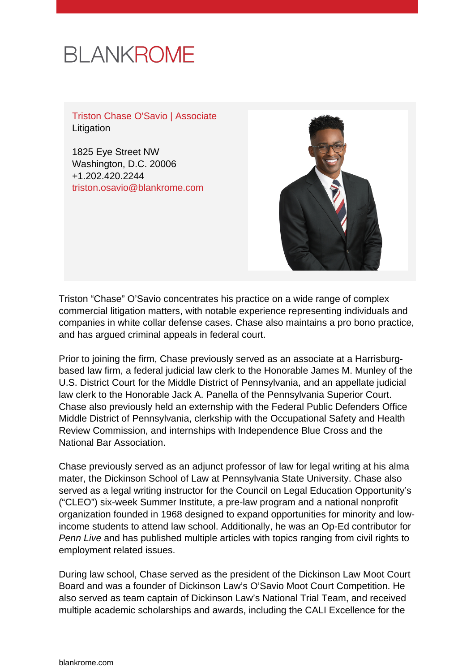# **BLANKROME**

Triston Chase O'Savio | Associate Litigation

1825 Eye Street NW Washington, D.C. 20006 +1.202.420.2244 [triston.osavio@blankrome.com](mailto:triston.osavio@blankrome.com)



Triston "Chase" O'Savio concentrates his practice on a wide range of complex commercial litigation matters, with notable experience representing individuals and companies in white collar defense cases. Chase also maintains a pro bono practice, and has argued criminal appeals in federal court.

Prior to joining the firm, Chase previously served as an associate at a Harrisburgbased law firm, a federal judicial law clerk to the Honorable James M. Munley of the U.S. District Court for the Middle District of Pennsylvania, and an appellate judicial law clerk to the Honorable Jack A. Panella of the Pennsylvania Superior Court. Chase also previously held an externship with the Federal Public Defenders Office Middle District of Pennsylvania, clerkship with the Occupational Safety and Health Review Commission, and internships with Independence Blue Cross and the National Bar Association.

Chase previously served as an adjunct professor of law for legal writing at his alma mater, the Dickinson School of Law at Pennsylvania State University. Chase also served as a legal writing instructor for the Council on Legal Education Opportunity's ("CLEO") six-week Summer Institute, a pre-law program and a national nonprofit organization founded in 1968 designed to expand opportunities for minority and lowincome students to attend law school. Additionally, he was an Op-Ed contributor for Penn Live and has published multiple articles with topics ranging from civil rights to employment related issues.

During law school, Chase served as the president of the Dickinson Law Moot Court Board and was a founder of Dickinson Law's O'Savio Moot Court Competition. He also served as team captain of Dickinson Law's National Trial Team, and received multiple academic scholarships and awards, including the CALI Excellence for the